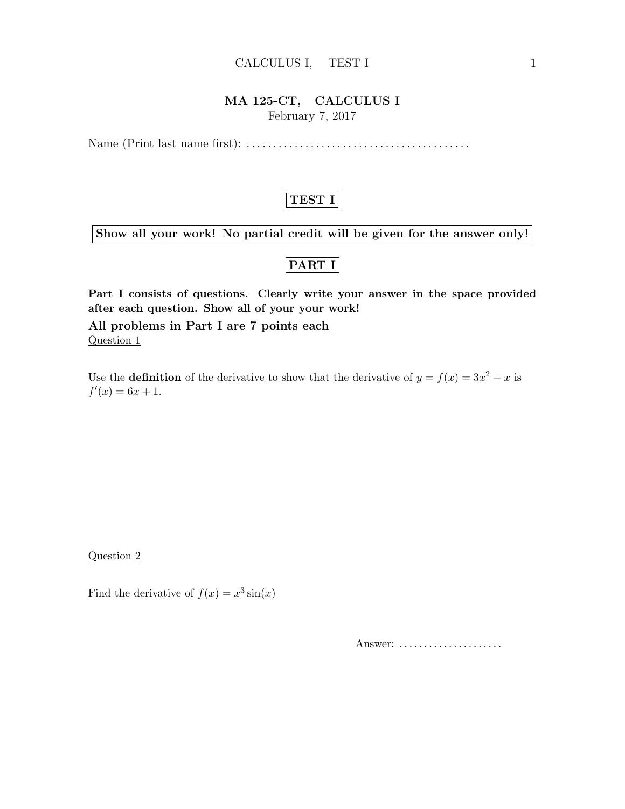#### CALCULUS I, TEST I 1

#### MA 125-CT, CALCULUS I February 7, 2017

Name (Print last name first): . . . . . . . . . . . . . . . . . . . . . . . . . . . . . . . . . . . . . . . . . .



Show all your work! No partial credit will be given for the answer only!

### PART I

Part I consists of questions. Clearly write your answer in the space provided after each question. Show all of your your work!

All problems in Part I are 7 points each Question 1

Use the **definition** of the derivative to show that the derivative of  $y = f(x) = 3x^2 + x$  is  $f'(x) = 6x + 1.$ 

Question 2

Find the derivative of  $f(x) = x^3 \sin(x)$ 

Answer: .....................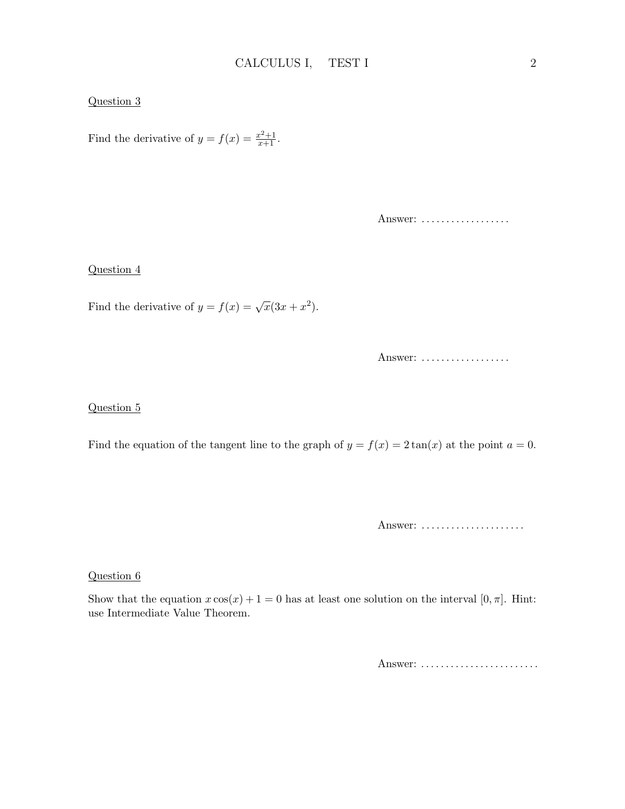#### Question 3

Find the derivative of  $y = f(x) = \frac{x^2+1}{x+1}$ .

Answer: ..................

#### Question 4

Find the derivative of  $y = f(x) = \sqrt{x}(3x + x^2)$ .

Answer: ..................

#### Question 5

Find the equation of the tangent line to the graph of  $y = f(x) = 2 \tan(x)$  at the point  $a = 0$ .

Answer: ......................

#### Question 6

Show that the equation  $x \cos(x) + 1 = 0$  has at least one solution on the interval  $[0, \pi]$ . Hint: use Intermediate Value Theorem.

Answer: .........................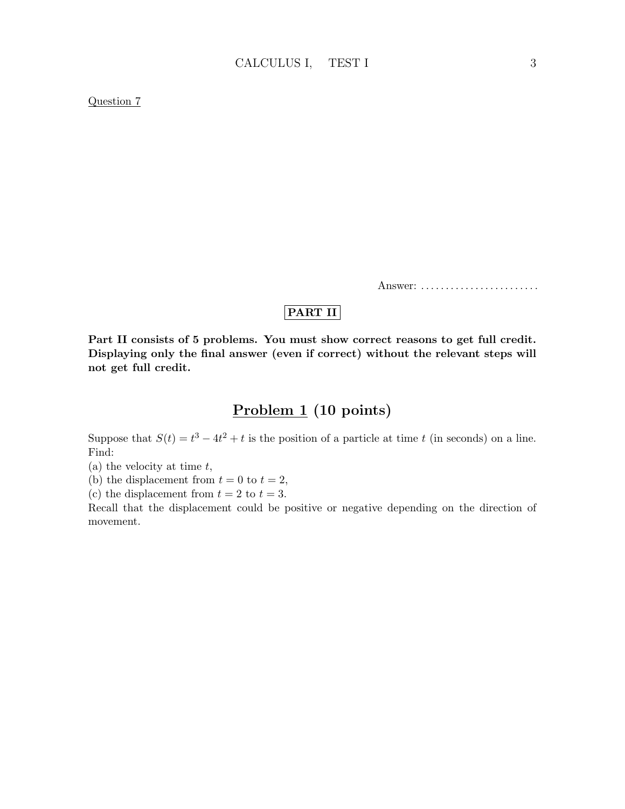#### Question 7

Answer: .........................

### PART II

Part II consists of 5 problems. You must show correct reasons to get full credit. Displaying only the final answer (even if correct) without the relevant steps will not get full credit.

## Problem 1 (10 points)

Suppose that  $S(t) = t^3 - 4t^2 + t$  is the position of a particle at time t (in seconds) on a line. Find:

(a) the velocity at time  $t$ ,

(b) the displacement from  $t = 0$  to  $t = 2$ ,

(c) the displacement from  $t = 2$  to  $t = 3$ .

Recall that the displacement could be positive or negative depending on the direction of movement.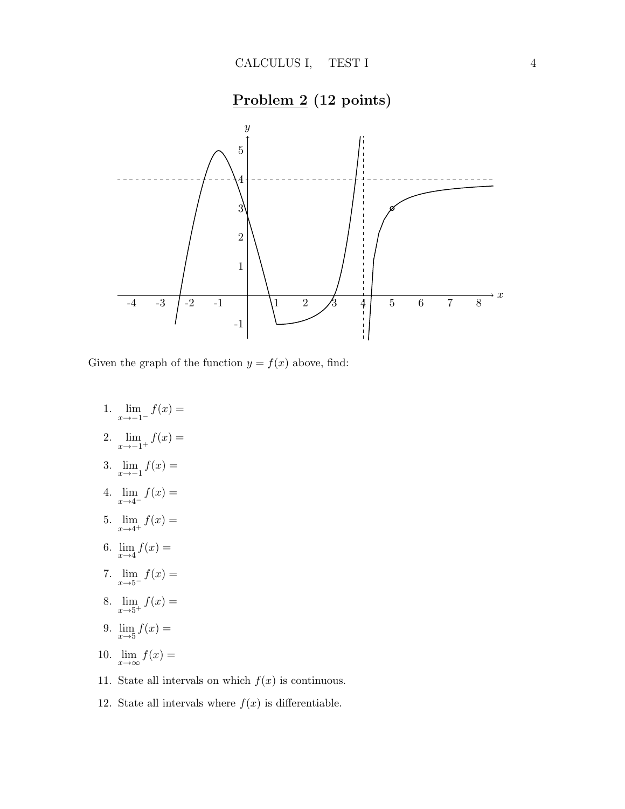

Given the graph of the function  $y = f(x)$  above, find:

- 1.  $\lim_{x \to -1^{-}} f(x) =$
- 2.  $\lim_{x \to -1^+} f(x) =$
- 3.  $\lim_{x \to -1} f(x) =$
- 4.  $\lim_{x \to 4^{-}} f(x) =$
- 5.  $\lim_{x \to 4^+} f(x) =$
- 6.  $\lim_{x \to 4} f(x) =$
- 7.  $\lim_{x \to 5^{-}} f(x) =$
- 8.  $\lim_{x \to 5^+} f(x) =$
- 9.  $\lim_{x \to 5} f(x) =$
- 10.  $\lim_{x \to \infty} f(x) =$
- 11. State all intervals on which  $f(x)$  is continuous.
- 12. State all intervals where  $f(x)$  is differentiable.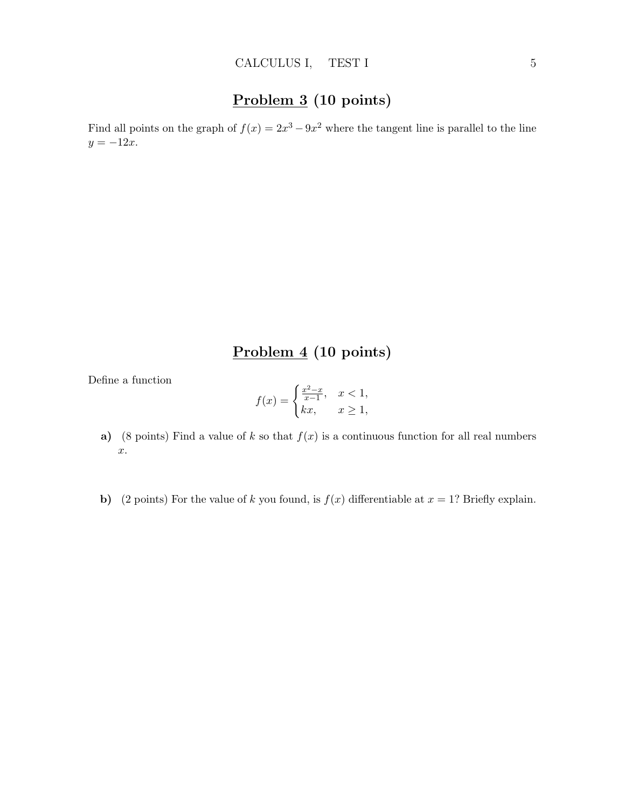# Problem 3 (10 points)

Find all points on the graph of  $f(x) = 2x^3 - 9x^2$  where the tangent line is parallel to the line  $y = -12x$ .

## Problem 4 (10 points)

Define a function

$$
f(x) = \begin{cases} \frac{x^2 - x}{x - 1}, & x < 1, \\ kx, & x \ge 1, \end{cases}
$$

- a) (8 points) Find a value of k so that  $f(x)$  is a continuous function for all real numbers x.
- b) (2 points) For the value of k you found, is  $f(x)$  differentiable at  $x = 1$ ? Briefly explain.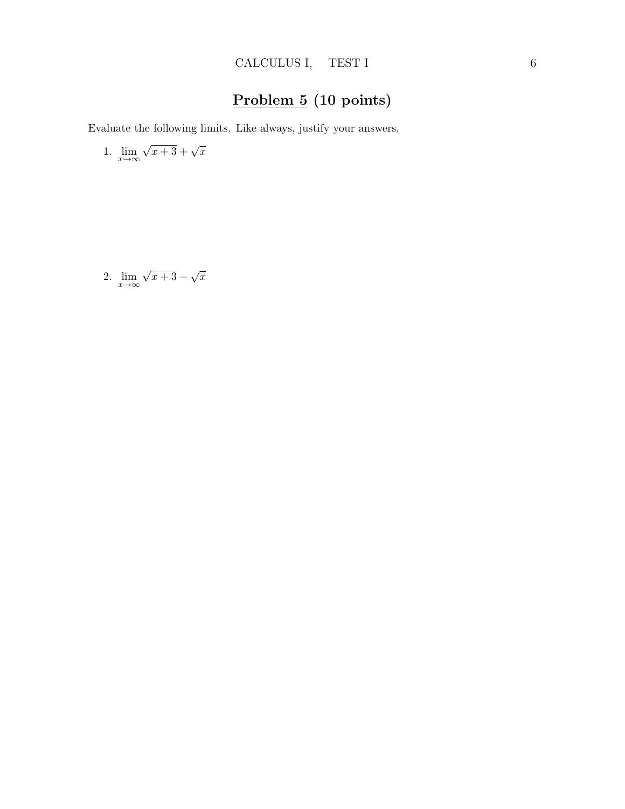# Problem 5 (10 points)

Evaluate the following limits. Like always, justify your answers.

1. 
$$
\lim_{x \to \infty} \sqrt{x+3} + \sqrt{x}
$$

2. 
$$
\lim_{x \to \infty} \sqrt{x+3} - \sqrt{x}
$$